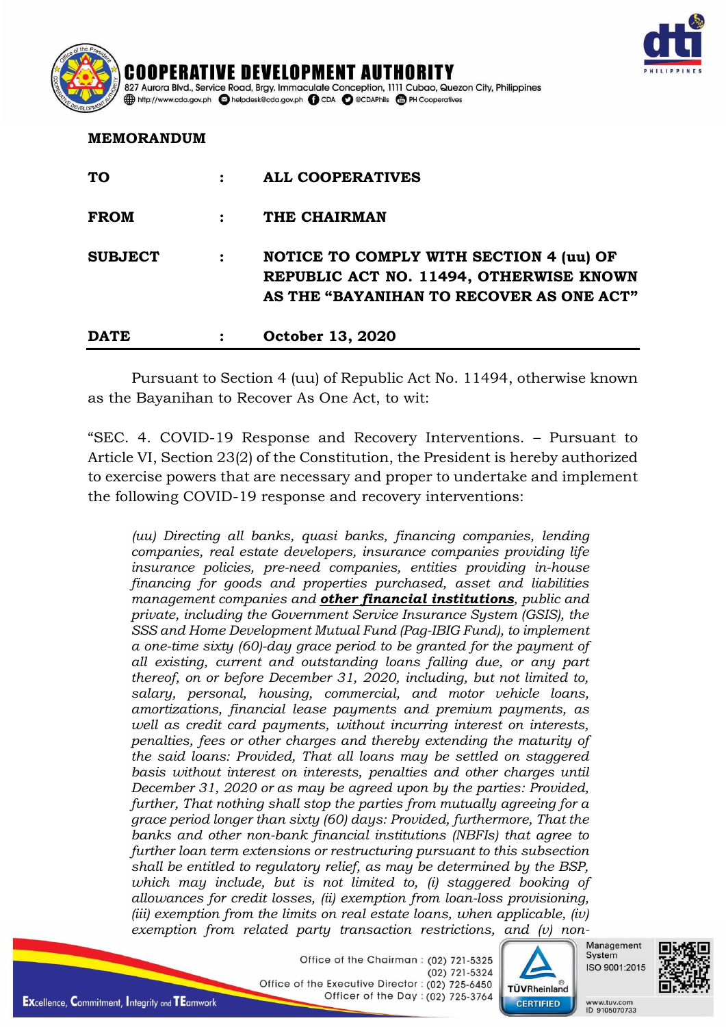

ENT AUTH 827 Aurora Blvd., Service Road, Brgy. Immaculate Conception, 1111 Cubao, Quezon City, Philippines http://www.cda.gov.ph helpdesk@cda.gov.ph D CDA O @CDAPhils + PH Cooperatives

## **MEMORANDUM**

| <b>TO</b>      | <b>ALL COOPERATIVES</b>                                                                                                        |
|----------------|--------------------------------------------------------------------------------------------------------------------------------|
| <b>FROM</b>    | THE CHAIRMAN                                                                                                                   |
| <b>SUBJECT</b> | NOTICE TO COMPLY WITH SECTION 4 (uu) OF<br>REPUBLIC ACT NO. 11494, OTHERWISE KNOWN<br>AS THE "BAYANIHAN TO RECOVER AS ONE ACT" |
| <b>DATE</b>    | October 13, 2020                                                                                                               |

Pursuant to Section 4 (uu) of Republic Act No. 11494, otherwise known as the Bayanihan to Recover As One Act, to wit:

"SEC. 4. COVID-19 Response and Recovery Interventions. – Pursuant to Article VI, Section 23(2) of the Constitution, the President is hereby authorized to exercise powers that are necessary and proper to undertake and implement the following COVID-19 response and recovery interventions:

*(uu) Directing all banks, quasi banks, financing companies, lending companies, real estate developers, insurance companies providing life insurance policies, pre-need companies, entities providing in-house financing for goods and properties purchased, asset and liabilities management companies and other financial institutions, public and private, including the Government Service Insurance System (GSIS), the SSS and Home Development Mutual Fund (Pag-IBIG Fund), to implement a one-time sixty (60)-day grace period to be granted for the payment of all existing, current and outstanding loans falling due, or any part thereof, on or before December 31, 2020, including, but not limited to, salary, personal, housing, commercial, and motor vehicle loans, amortizations, financial lease payments and premium payments, as well as credit card payments, without incurring interest on interests, penalties, fees or other charges and thereby extending the maturity of the said loans: Provided, That all loans may be settled on staggered basis without interest on interests, penalties and other charges until December 31, 2020 or as may be agreed upon by the parties: Provided, further, That nothing shall stop the parties from mutually agreeing for a grace period longer than sixty (60) days: Provided, furthermore, That the banks and other non-bank financial institutions (NBFIs) that agree to further loan term extensions or restructuring pursuant to this subsection shall be entitled to regulatory relief, as may be determined by the BSP, which may include, but is not limited to, (i) staggered booking of allowances for credit losses, (ii) exemption from loan-loss provisioning, (iii) exemption from the limits on real estate loans, when applicable, (iv) exemption from related party transaction restrictions, and (v) non-*

> Office of the Chairman: (02) 721-5325 (02) 721-5324 Office of the Executive Director: (02) 725-6450 Officer of the Day: (02) 725-3764



Management System ISO 9001:2015